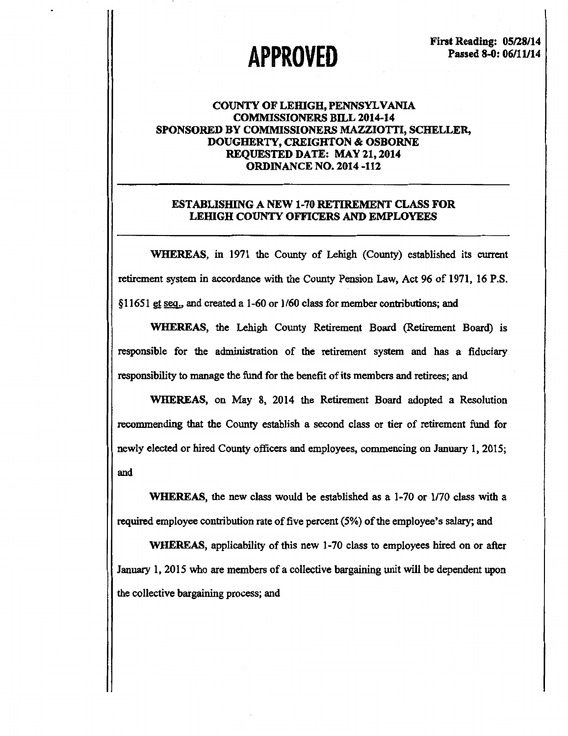# **APPROVED**

First Reading: 05/28/14 Passed 8-0: 06/11/14

## COUNTY OF LEHIGH, PENNSYLVANIA COMMISSIONERS BILL 2014-14 SPONSORED BY COMMISSIONERS MAZZIOTTI, SCHELLER, DOUGHERTY, CREIGHTON & OSBORNE REQUESTED DATE: MAY 21, 2014 ORDINANCE NO. 2014 -112

### ESTABLISHING A NEW 1-70 RETIREMENT CLASS FOR LEHIGH COUNTY OFFICERS AND EMPLOYEES

WHEREAS, in 1971 the County of Lehigh (County) established its current retirement system in accordance with the County Pension Law, Act 96 of 1971, 16 P.S. §11651 et seq., and created a 1-60 or  $1/60$  class for member contributions; and

WHEREAS, the Lehigh County Retirement Board (Retirement Board) is responsible for the administration of the retirement system and has a fiduciary responsibility to manage the fund for the benefit of its members and retirees; and

WHEREAS, on May 8, 2014 the Retirement Board adopted a Resolution recommending that the County establish a second class or tier of retirement fund for newly elected or hired County officers and employees, commencing on January 1, 2015; and

WHEREAS, the new class would be established as a 1-70 or 1/70 class with a required employee contribution rate of five percent (5%) of the employee's salary; and

WHEREAS, applicability of this new 1-70 class to employees hired on or after January 1, 2015 who are members of a collective bargaining unit will be dependent upon the collective bargaining process; and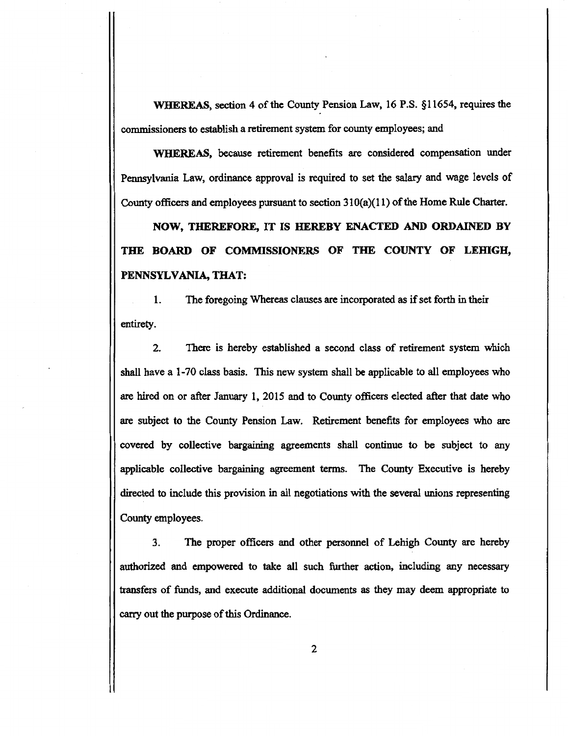WHEREAS, section 4 of the County Pension Law, 16 P.S. §11654, requires the commissioners to establish a retirement system for county employees; and

WHEREAS, because retirement benefits are considered compensation under Pennsylvania Law, ordinance approval is required to set the salary and wage levels of County officers and employees pursuant to section  $310(a)(11)$  of the Home Rule Charter.

NOW, THEREFORE, IT IS HEREBY ENACTED AND ORDAINED BY THE BOARD OF COMMISSIONERS OF THE COUNTY OF LEHIGH, PENNSYLVANIA, THAT:

1. The foregoing Whereas clauses are incorporated as if set forth in their entirety.

2. There is hereby established a second class of retirement system which shall have a 1-70 class basis. This new system shall be applicable to all employees who are hired on or after January 1, 2015 and to County officers elected after that date who are subject to the County Pension Law. Retirement benefits for employees who are covered by collective bargaining agreements shall continue to be subject to any applicable collective bargaining agreement terms. The County Executive is hereby directed to include this provision in all negotiations with the several unions representing County employees.

3. The proper officers and other personnel of Lehigh County are hereby authorized and empowered to take all such further action, including any necessary transfers of funds, and execute additional documents as they may deem appropriate to carry out the purpose of this Ordinance.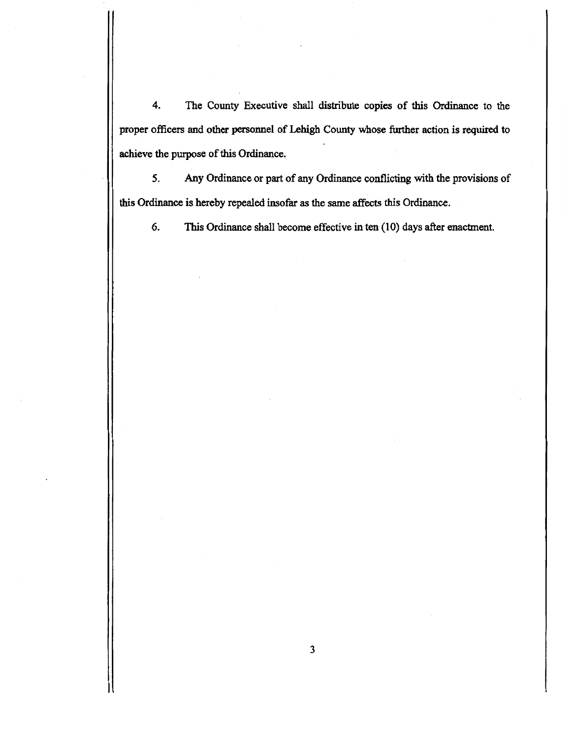4. The County Executive shall distribute copies of this Ordinance to the proper officers and other personnel of Lehigh County whose further action is required to achieve the purpose of this Ordinance.

*5.* Any Ordinance or part of any Ordinance conflicting with the provisions of this Ordinance is hereby repealed insofar as the same affects this Ordinance.

6. This Ordinance shall become effective in ten (10) days after enactment.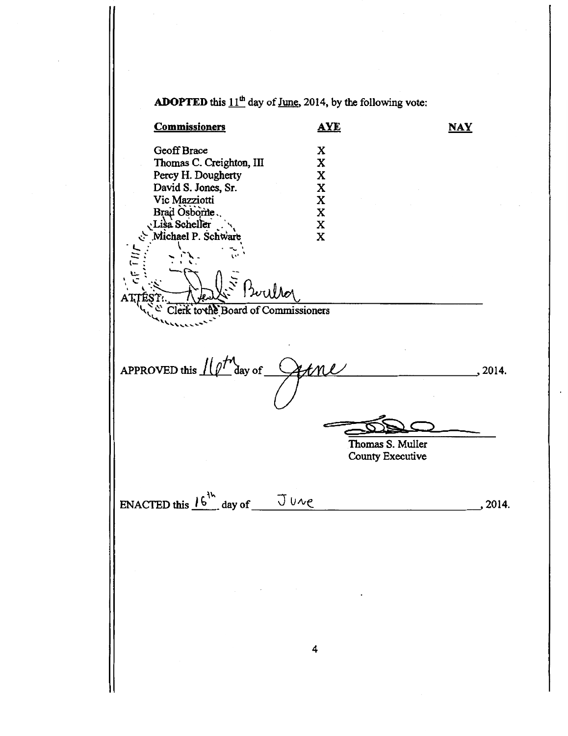**ADOPTED** this  $11<sup>th</sup>$  day of June, 2014, by the following vote: **Commissioners AYE**  $\overline{\text{MAX}}$ Geoff Brace X<br>Thomas C. Creighton, III X Thomas C. Creighton, III X<br>Percy H. Dougherty X Percy H. Dougherty X<br>
David S. Jones, Sr. X David S. Jones, Sr. X Vic Mazziotti<br>Brad Osborne<br>Lisa Scheller<br>X Brad Osborite. The Scheller \*\* X<br>- Michael P. Schware \*\* X Michael P. Schware  $\sum_{i=1}^{n}$ ::::- *:* ' •''\. .. **l''** ..  $\sum_{i=1}^{n} P_{i}$ لتي يا المستخدمة ',1..:'.·~·  $\overline{\phantom{a}}$ Clerk to the Board of Commissioners APPROVED this  $I\left(\ell^{T'}\right)$  aay of  $\lambda$ tnl  $\sum_{i=1}^n$ Thomas S. Muller County Executive ENACTED this  $16^{14}$  day of  $70\%$ 4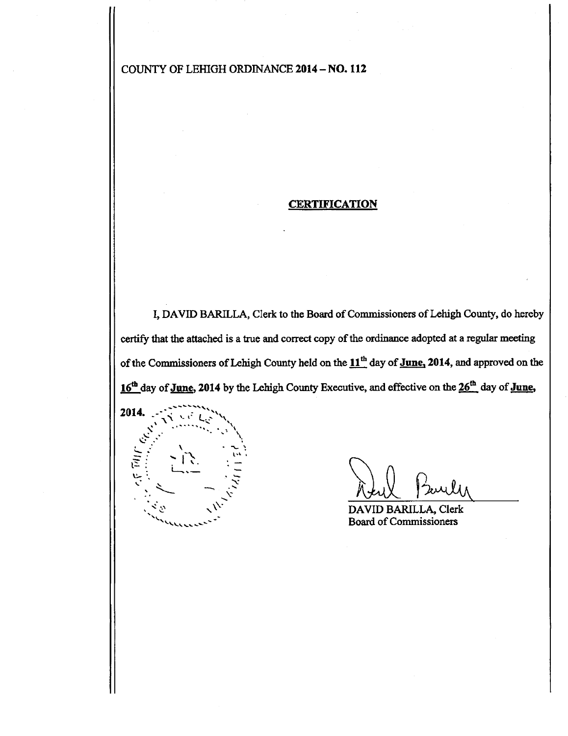COUNTY OF LEHIGH ORDINANCE 2014- NO. 112

## **CERTIFICATION**

I, DAVID BARILLA, Clerk to the Board of Commissioners of Lehigh County, do hereby certify that the attached is a true and correct copy of the ordinance adopted at a regular meeting of the Commissioners of Lehigh County held on the  $11<sup>th</sup>$  day of June, 2014, and approved on the 16<sup>th</sup> day of June, 2014 by the Lehigh County Executive, and effective on the 26<sup>th</sup> day of June,



DAVID BARILLA, Clerk Board of Commissioners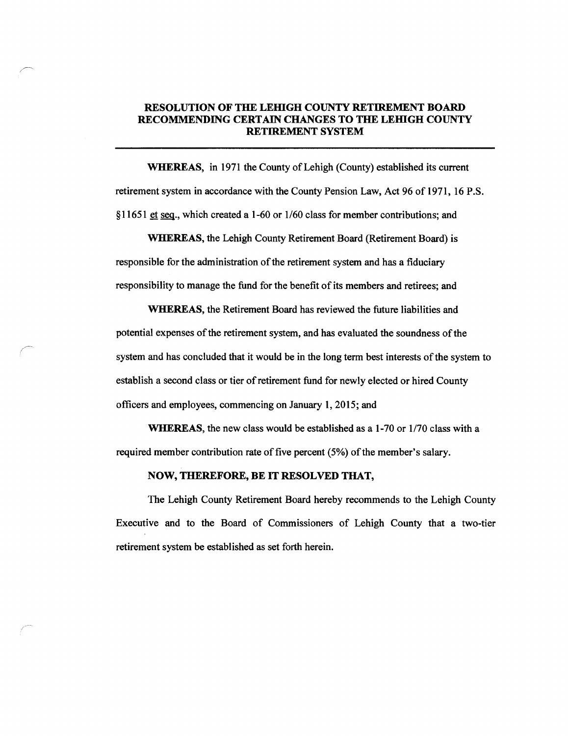## RESOLUTION OF THE LEHIGH COUNTY RETIREMENT BOARD RECOMMENDING CERTAIN CHANGES TO THE LEHIGH COUNTY RETIREMENT SYSTEM

WHEREAS, in 1971 the County of Lehigh (County) established its current retirement system in accordance with the County Pension Law, Act 96 of 1971, 16 P.S. §11651 et seq., which created a 1-60 or 1/60 class for member contributions; and

WHEREAS, the Lehigh County Retirement Board (Retirement Board) is responsible for the administration of the retirement system and has a fiduciary responsibility to manage the fund for the benefit of its members and retirees; and

WHEREAS, the Retirement Board has reviewed the future liabilities and potential expenses of the retirement system, and has evaluated the soundness of the system and has concluded that it would be in the long term best interests of the system to establish a second class or tier of retirement fund for newly elected or hired County officers and employees, commencing on January 1, 2015; and

WHEREAS, the new class would be established as a 1-70 or 1/70 class with a required member contribution rate of five percent (5%) of the member's salary.

#### NOW, THEREFORE, BE IT RESOLVED THAT,

The Lehigh County Retirement Board hereby recommends to the Lehigh County Executive and to the Board of Commissioners of Lehigh County that a two-tier retirement system be established as set forth herein.